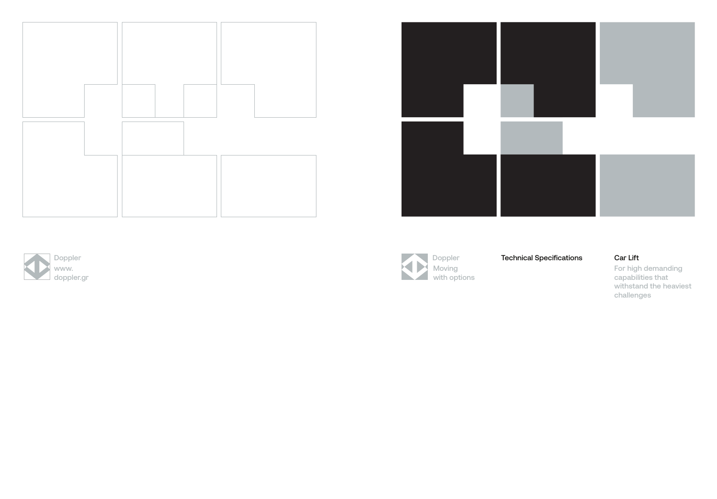

For high demanding capabilities that withstand the heaviest challenges





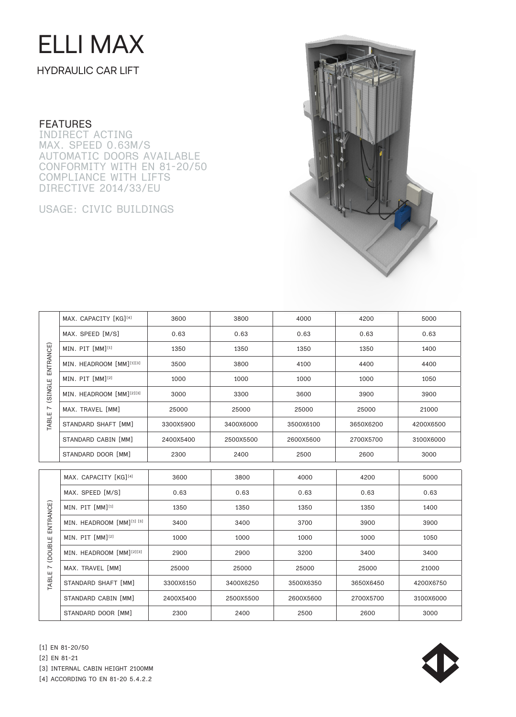# ELLI MAX

### HYDRAULIC CAR LIFT

#### **FEATURES**

INDIRECT ACTING MAX. SPEED 0.63M/S AUTOMATIC DOORS AVAILABLE CONFORMITY WITH EN 81-20/50 COMPLIANCE WITH LIFTS DIRECTIVE 2014/33/EU

USAGE: CIVIC BUILDINGS



| ENTRANCE)<br>(SINGLE<br>$\overline{ }$<br>TABLE | MAX. CAPACITY [KG][4]                | 3600      | 3800      | 4000      | 4200      | 5000      |
|-------------------------------------------------|--------------------------------------|-----------|-----------|-----------|-----------|-----------|
|                                                 | MAX. SPEED [M/S]                     | 0.63      | 0.63      | 0.63      | 0.63      | 0.63      |
|                                                 | MIN. PIT [MM][1]                     | 1350      | 1350      | 1350      | 1350      | 1400      |
|                                                 | MIN. HEADROOM [MM][1][3]             | 3500      | 3800      | 4100      | 4400      | 4400      |
|                                                 | MIN. PIT [MM] <sup>[2]</sup>         | 1000      | 1000      | 1000      | 1000      | 1050      |
|                                                 | MIN. HEADROOM [MM] <sup>[2][3]</sup> | 3000      | 3300      | 3600      | 3900      | 3900      |
|                                                 | MAX. TRAVEL [MM]                     | 25000     | 25000     | 25000     | 25000     | 21000     |
|                                                 | STANDARD SHAFT [MM]                  | 3300X5900 | 3400X6000 | 3500X6100 | 3650X6200 | 4200X6500 |
|                                                 | STANDARD CABIN [MM]                  | 2400X5400 | 2500X5500 | 2600X5600 | 2700X5700 | 3100X6000 |
|                                                 | STANDARD DOOR [MM]                   | 2300      | 2400      | 2500      | 2600      | 3000      |
|                                                 |                                      |           |           |           |           |           |
| ENTRANCE)                                       | MAX. CAPACITY [KG][4]                | 3600      | 3800      | 4000      | 4200      | 5000      |
|                                                 | MAX. SPEED [M/S]                     | 0.63      | 0.63      | 0.63      | 0.63      | 0.63      |
|                                                 | MIN. PIT [MM][1]                     | 1350      | 1350      | 1350      | 1350      | 1400      |
|                                                 | MIN. HEADROOM [MM][1] [3]            | 3400      | 3400      | 3700      | 3900      | 3900      |
|                                                 | MIN. PIT [MM] <sup>[2]</sup>         | 1000      | 1000      | 1000      | 1000      | 1050      |
| (DOUBLE                                         | MIN. HEADROOM [MM] <sup>[2][3]</sup> | 2900      | 2900      | 3200      | 3400      | 3400      |
| $\overline{ }$<br>TABLE                         | MAX. TRAVEL [MM]                     | 25000     | 25000     | 25000     | 25000     | 21000     |
|                                                 | STANDARD SHAFT [MM]                  | 3300X6150 | 3400X6250 | 3500X6350 | 3650X6450 | 4200X6750 |
|                                                 | STANDARD CABIN [MM]                  | 2400X5400 | 2500X5500 | 2600X5600 | 2700X5700 |           |
|                                                 | STANDARD DOOR [MM]                   | 2300      | 2400      | 2500      | 2600      | 3000      |

[1] EN 81-20/50

[2] EN 81-21



[3] INTERNAL CABIN HEIGHT 2100MM

[4] ACCORDING TO EN 81-20 5.4.2.2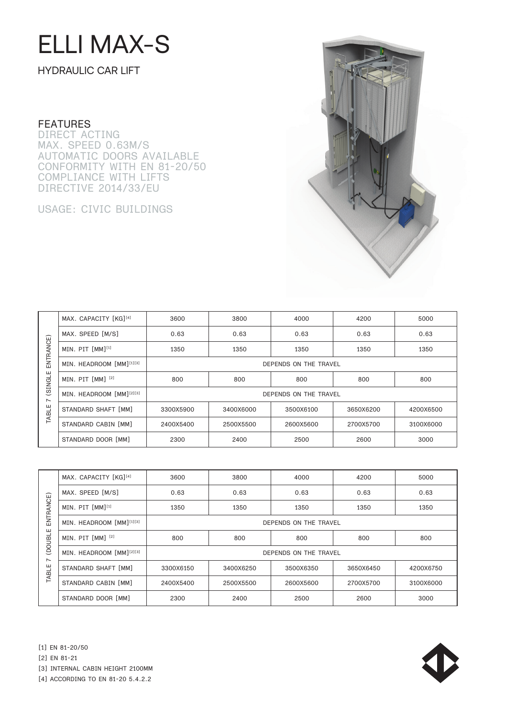## ELLI MAX-S

HYDRAULIC CAR LIFT

#### **FEATURES**

DIRECT ACTING MAX. SPEED 0.63M/S AUTOMATIC DOORS AVAILABLE CONFORMITY WITH EN 81-20/50 COMPLIANCE WITH LIFTS DIRECTIVE 2014/33/EU

USAGE: CIVIC BUILDINGS



| ENTRANCE)<br>(SINGLE<br>$\sim$<br>TABLE | MAX. CAPACITY [KG][4]    | 3600                  | 3800      | 4000      | 4200      | 5000      |  |  |
|-----------------------------------------|--------------------------|-----------------------|-----------|-----------|-----------|-----------|--|--|
|                                         | MAX. SPEED [M/S]         | 0.63                  | 0.63      | 0.63      | 0.63      | 0.63      |  |  |
|                                         | MIN. PIT [MM][1]         | 1350                  | 1350      | 1350      | 1350      | 1350      |  |  |
|                                         | MIN. HEADROOM [MM][1][3] | DEPENDS ON THE TRAVEL |           |           |           |           |  |  |
|                                         | MIN. PIT [MM] [2]        | 800                   | 800       | 800       | 800       | 800       |  |  |
|                                         | MIN. HEADROOM [MM][2][3] | DEPENDS ON THE TRAVEL |           |           |           |           |  |  |
|                                         | STANDARD SHAFT [MM]      | 3300X5900             | 3400X6000 | 3500X6100 | 3650X6200 | 4200X6500 |  |  |
|                                         | STANDARD CABIN [MM]      | 2400X5400             | 2500X5500 | 2600X5600 | 2700X5700 | 3100X6000 |  |  |
|                                         | STANDARD DOOR [MM]       | 2300                  | 2400      | 2500      | 2600      | 3000      |  |  |

| □<br>ENTRANC<br>ш<br><b>LOOUBL</b><br>$\sim$<br>TABLE | MAX. CAPACITY [KG][4]        | 3600                  | 3800      | 4000      | 4200      | 5000      |  |  |
|-------------------------------------------------------|------------------------------|-----------------------|-----------|-----------|-----------|-----------|--|--|
|                                                       | MAX. SPEED [M/S]             | 0.63                  | 0.63      | 0.63      | 0.63      | 0.63      |  |  |
|                                                       | MIN. PIT [MM] <sup>[1]</sup> | 1350                  | 1350      | 1350      | 1350      | 1350      |  |  |
|                                                       | MIN. HEADROOM [MM][1][3]     | DEPENDS ON THE TRAVEL |           |           |           |           |  |  |
|                                                       | MIN. PIT [MM] [2]            | 800                   | 800       | 800       | 800       | 800       |  |  |
|                                                       | MIN. HEADROOM [MM][2][3]     | DEPENDS ON THE TRAVEL |           |           |           |           |  |  |
|                                                       | STANDARD SHAFT [MM]          | 3300X6150             | 3400X6250 | 3500X6350 | 3650X6450 | 4200X6750 |  |  |
|                                                       | STANDARD CABIN [MM]          | 2400X5400             | 2500X5500 | 2600X5600 | 2700X5700 | 3100X6000 |  |  |
|                                                       | STANDARD DOOR [MM]           | 2300                  | 2400      | 2500      | 2600      | 3000      |  |  |





[3] INTERNAL CABIN HEIGHT 2100MM

[4] ACCORDING TO EN 81-20 5.4.2.2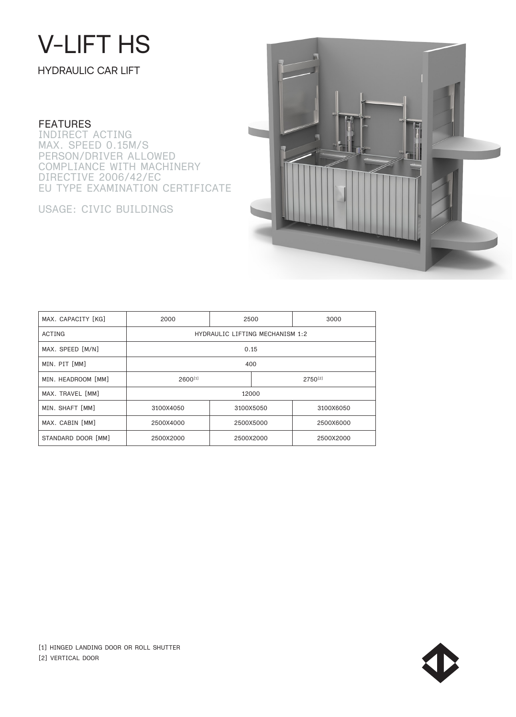## V-LIFT HS

HYDRAULIC CAR LIFT

#### **FEATURES**

INDIRECT ACTING MAX. SPEED 0.15M/S PERSON/DRIVER ALLOWED COMPLIANCE WITH MACHINERY DIRECTIVE 2006/42/EC EU TYPE EXAMINATION CERTIFICATE

USAGE: CIVIC BUILDINGS



| MAX. CAPACITY [KG] | 2000                                   | 2500      |  | 3000      |  |  |
|--------------------|----------------------------------------|-----------|--|-----------|--|--|
| ACTING             | <b>HYDRAULIC LIFTING MECHANISM 1:2</b> |           |  |           |  |  |
| MAX. SPEED [M/N]   | 0.15                                   |           |  |           |  |  |
| MIN. PIT [MM]      | 400                                    |           |  |           |  |  |
| MIN. HEADROOM [MM] | $2600^{[1]}$                           |           |  | 2750[2]   |  |  |
| MAX. TRAVEL [MM]   |                                        | 12000     |  |           |  |  |
| MIN. SHAFT [MM]    | 3100X4050                              | 3100X5050 |  | 3100X6050 |  |  |
| MAX. CABIN [MM]    | 2500X4000                              | 2500X5000 |  | 2500X6000 |  |  |
| STANDARD DOOR [MM] | 2500X2000                              | 2500X2000 |  | 2500X2000 |  |  |